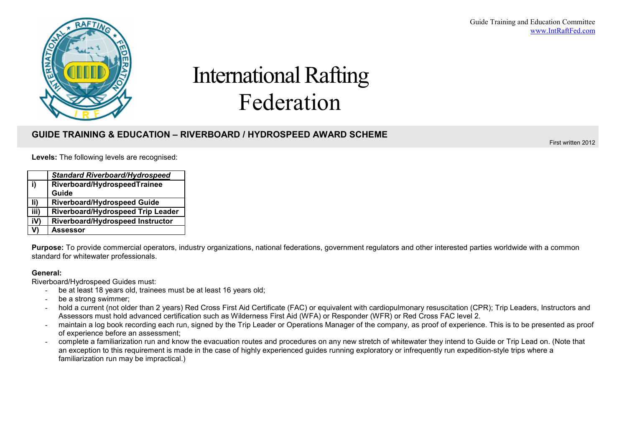

# International Rafting Federation

# **GUIDE TRAINING & EDUCATION – RIVERBOARD / HYDROSPEED AWARD SCHEME**

First written 2012

|  | Levels: The following levels are recognised: |  |  |
|--|----------------------------------------------|--|--|
|--|----------------------------------------------|--|--|

|      | <b>Standard Riverboard/Hydrospeed</b> |
|------|---------------------------------------|
| i)   | Riverboard/HydrospeedTrainee<br>Guide |
| li)  | <b>Riverboard/Hydrospeed Guide</b>    |
| iii) | Riverboard/Hydrospeed Trip Leader     |
| iV)  | Riverboard/Hydrospeed Instructor      |
| V)   | Assessor                              |

**Purpose:** To provide commercial operators, industry organizations, national federations, government regulators and other interested parties worldwide with a common standard for whitewater professionals.

## **General:**

Riverboard/Hydrospeed Guides must:

- be at least 18 years old, trainees must be at least 16 years old;
- be a strong swimmer;
- hold a current (not older than 2 years) Red Cross First Aid Certificate (FAC) or equivalent with cardiopulmonary resuscitation (CPR); Trip Leaders, Instructors and Assessors must hold advanced certification such as Wilderness First Aid (WFA) or Responder (WFR) or Red Cross FAC level 2.
- maintain a log book recording each run, signed by the Trip Leader or Operations Manager of the company, as proof of experience. This is to be presented as proof of experience before an assessment;
- complete a familiarization run and know the evacuation routes and procedures on any new stretch of whitewater they intend to Guide or Trip Lead on. (Note that an exception to this requirement is made in the case of highly experienced guides running exploratory or infrequently run expedition-style trips where a familiarization run may be impractical.)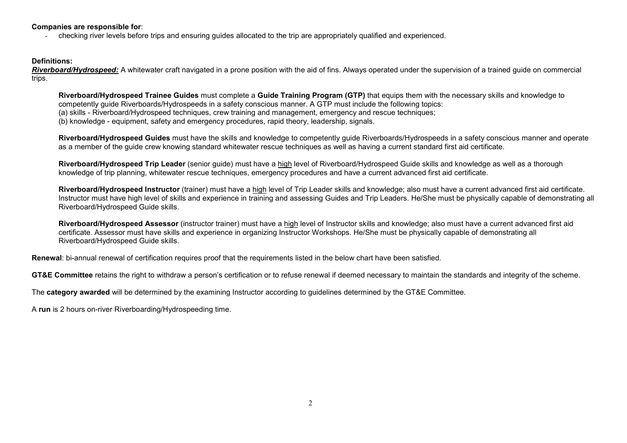### **Companies are responsible for**:

- checking river levels before trips and ensuring guides allocated to the trip are appropriately qualified and experienced.

### **Definitions:**

*Riverboard/Hydrospeed:* A whitewater craft navigated in a prone position with the aid of fins. Always operated under the supervision of a trained guide on commercial trips.

**Riverboard/Hydrospeed Trainee Guides** must complete a **Guide Training Program (GTP)** that equips them with the necessary skills and knowledge to competently guide Riverboards/Hydrospeeds in a safety conscious manner. A GTP must include the following topics:

(a) skills - Riverboard/Hydrospeed techniques, crew training and management, emergency and rescue techniques;

(b) knowledge - equipment, safety and emergency procedures, rapid theory, leadership, signals.

**Riverboard/Hydrospeed Guides** must have the skills and knowledge to competently guide Riverboards/Hydrospeeds in a safety conscious manner and operate as a member of the guide crew knowing standard whitewater rescue techniques as well as having a current standard first aid certificate.

**Riverboard/Hydrospeed Trip Leader** (senior guide) must have a high level of Riverboard/Hydrospeed Guide skills and knowledge as well as a thorough knowledge of trip planning, whitewater rescue techniques, emergency procedures and have a current advanced first aid certificate.

**Riverboard/Hydrospeed Instructor** (trainer) must have a high level of Trip Leader skills and knowledge; also must have a current advanced first aid certificate. Instructor must have high level of skills and experience in training and assessing Guides and Trip Leaders. He/She must be physically capable of demonstrating all Riverboard/Hydrospeed Guide skills.

**Riverboard/Hydrospeed Assessor** (instructor trainer) must have a high level of Instructor skills and knowledge; also must have a current advanced first aid certificate. Assessor must have skills and experience in organizing Instructor Workshops. He/She must be physically capable of demonstrating all Riverboard/Hydrospeed Guide skills.

**Renewal**: bi-annual renewal of certification requires proof that the requirements listed in the below chart have been satisfied.

**GT&E Committee** retains the right to withdraw a person's certification or to refuse renewal if deemed necessary to maintain the standards and integrity of the scheme.

The **category awarded** will be determined by the examining Instructor according to guidelines determined by the GT&E Committee.

A **run** is 2 hours on-river Riverboarding/Hydrospeeding time.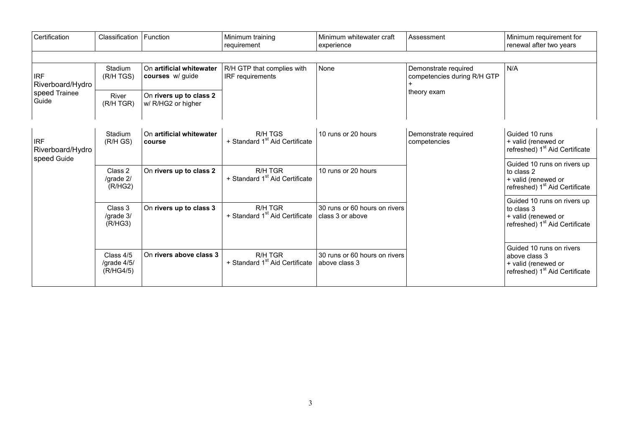| Certification                                            | Classification                          | Function                                      | Minimum training<br>requirement                       | Minimum whitewater craft<br>experience            | Assessment                                                         | Minimum requirement for<br>renewal after two years                                                             |
|----------------------------------------------------------|-----------------------------------------|-----------------------------------------------|-------------------------------------------------------|---------------------------------------------------|--------------------------------------------------------------------|----------------------------------------------------------------------------------------------------------------|
|                                                          |                                         |                                               |                                                       |                                                   |                                                                    |                                                                                                                |
| <b>IRF</b><br>Riverboard/Hydro<br>speed Trainee<br>Guide | Stadium<br>(R/H TGS)                    | On artificial whitewater<br>courses w/ guide  | R/H GTP that complies with<br><b>IRF</b> requirements | None                                              | Demonstrate required<br>competencies during R/H GTP<br>theory exam | N/A                                                                                                            |
|                                                          | River<br>(R/H TGR)                      | On rivers up to class 2<br>w/ R/HG2 or higher |                                                       |                                                   |                                                                    |                                                                                                                |
| <b>IRF</b><br>Riverboard/Hydro<br>speed Guide            | Stadium<br>(R/HGS)                      | On artificial whitewater<br>course            | R/H TGS<br>+ Standard 1 <sup>st</sup> Aid Certificate | 10 runs or 20 hours                               | Demonstrate required<br>competencies                               | Guided 10 runs<br>+ valid (renewed or<br>refreshed) 1 <sup>st</sup> Aid Certificate                            |
|                                                          | Class 2<br>/grade 2/<br>(R/HG2)         | On rivers up to class 2                       | R/H TGR<br>+ Standard 1 <sup>st</sup> Aid Certificate | 10 runs or 20 hours                               |                                                                    | Guided 10 runs on rivers up<br>to class 2<br>+ valid (renewed or<br>refreshed) 1 <sup>st</sup> Aid Certificate |
|                                                          | Class 3<br>/grade 3/<br>(R/HG3)         | On rivers up to class 3                       | R/H TGR<br>+ Standard 1 <sup>st</sup> Aid Certificate | 30 runs or 60 hours on rivers<br>class 3 or above |                                                                    | Guided 10 runs on rivers up<br>to class 3<br>+ valid (renewed or<br>refreshed) 1 <sup>st</sup> Aid Certificate |
|                                                          | Class 4/5<br>/grade $4/5/$<br>(R/HG4/5) | On rivers above class 3                       | R/H TGR<br>+ Standard 1 <sup>st</sup> Aid Certificate | 30 runs or 60 hours on rivers<br>above class 3    |                                                                    | Guided 10 runs on rivers<br>above class 3<br>+ valid (renewed or<br>refreshed) 1 <sup>st</sup> Aid Certificate |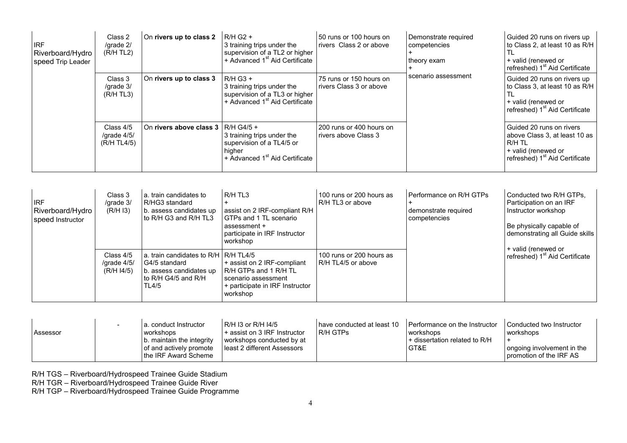| <b>IRF</b><br>Riverboard/Hydro<br>speed Trip Leader | Class 2<br>/grade 2/<br>$(R/H$ TL2)       | On rivers up to class 2                   | $R/H$ G <sub>2</sub> +<br>3 training trips under the<br>supervision of a TL2 or higher<br>+ Advanced 1 <sup>st</sup> Aid Certificate | 50 runs or 100 hours on<br>rivers Class 2 or above | Demonstrate required<br>competencies<br>theory exam | Guided 20 runs on rivers up<br>to Class 2, at least 10 as R/H<br>+ valid (renewed or<br>refreshed) 1 <sup>st</sup> Aid Certificate       |
|-----------------------------------------------------|-------------------------------------------|-------------------------------------------|--------------------------------------------------------------------------------------------------------------------------------------|----------------------------------------------------|-----------------------------------------------------|------------------------------------------------------------------------------------------------------------------------------------------|
|                                                     | Class 3<br>/grade 3/<br>$(R/H$ TL3)       | On rivers up to class 3                   | $R/H$ G <sub>3</sub> +<br>3 training trips under the<br>supervision of a TL3 or higher<br>+ Advanced 1 <sup>st</sup> Aid Certificate | 75 runs or 150 hours on<br>rivers Class 3 or above | scenario assessment                                 | Guided 20 runs on rivers up<br>to Class 3, at least 10 as R/H<br>+ valid (renewed or<br>refreshed) 1 <sup>st</sup> Aid Certificate       |
|                                                     | Class 4/5<br>/grade $4/5/$<br>(R/H TL4/5) | On rivers above class $3 \mid R/H G4/5 +$ | 3 training trips under the<br>supervision of a TL4/5 or<br>higher<br>+ Advanced 1 <sup>st</sup> Aid Certificate                      | 200 runs or 400 hours on<br>rivers above Class 3   |                                                     | Guided 20 runs on rivers<br>above Class 3, at least 10 as<br>R/H TL<br>+ valid (renewed or<br>refreshed) 1 <sup>st</sup> Aid Certificate |

| <b>IRF</b><br>Riverboard/Hydro<br>speed Instructor | Class 3<br>/grade 3/<br>(R/HI)           | a. train candidates to<br>R/HG3 standard<br>b. assess candidates up<br>to R/H G3 and R/H TL3                       | R/H TL3<br>assist on 2 IRF-compliant R/H<br>GTPs and 1 TL scenario<br>assessment +<br>participate in IRF Instructor<br>workshop | 100 runs or 200 hours as<br>R/H TL3 or above   | Performance on R/H GTPs<br>demonstrate required<br>competencies | Conducted two R/H GTPs,<br>Participation on an IRF<br>Instructor workshop<br>Be physically capable of<br>demonstrating all Guide skills<br>+ valid (renewed or<br>refreshed) 1 <sup>st</sup> Aid Certificate |
|----------------------------------------------------|------------------------------------------|--------------------------------------------------------------------------------------------------------------------|---------------------------------------------------------------------------------------------------------------------------------|------------------------------------------------|-----------------------------------------------------------------|--------------------------------------------------------------------------------------------------------------------------------------------------------------------------------------------------------------|
|                                                    | Class 4/5<br>/grade $4/5/$<br>(R/H I4/5) | a. train candidates to R/H   R/H TL4/5<br>G4/5 standard<br>b. assess candidates up<br>to R/H G4/5 and R/H<br>TL4/5 | + assist on 2 IRF-compliant<br>R/H GTPs and 1 R/H TL<br>scenario assessment<br>+ participate in IRF Instructor<br>workshop      | 100 runs or 200 hours as<br>R/H TL4/5 or above |                                                                 |                                                                                                                                                                                                              |

| Assessor | l a. conduct Instructor_<br>workshops<br>b. maintain the integrity | R/H I3 or R/H I4/5<br>+ assist on 3 IRF Instructor<br>workshops conducted by at<br>I least 2 different Assessors | have conducted at least 10<br>R/H GTPs | Performance on the Instructor<br>workshops<br>+ dissertation related to R/H<br>GT&E | Conducted two Instructor<br>workshops                   |
|----------|--------------------------------------------------------------------|------------------------------------------------------------------------------------------------------------------|----------------------------------------|-------------------------------------------------------------------------------------|---------------------------------------------------------|
|          | of and actively promote<br>the IRF Award Scheme                    |                                                                                                                  |                                        |                                                                                     | ongoing involvement in the<br>I promotion of the IRF AS |

R/H TGS – Riverboard/Hydrospeed Trainee Guide Stadium

R/H TGR – Riverboard/Hydrospeed Trainee Guide River

R/H TGP – Riverboard/Hydrospeed Trainee Guide Programme